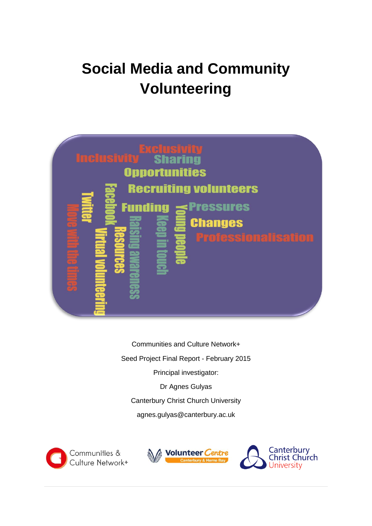# **Social Media and Community Volunteering**



Communities and Culture Network+ Seed Project Final Report - February 2015 Principal investigator: Dr Agnes Gulyas Canterbury Christ Church University agnes.gulyas@canterbury.ac.uk





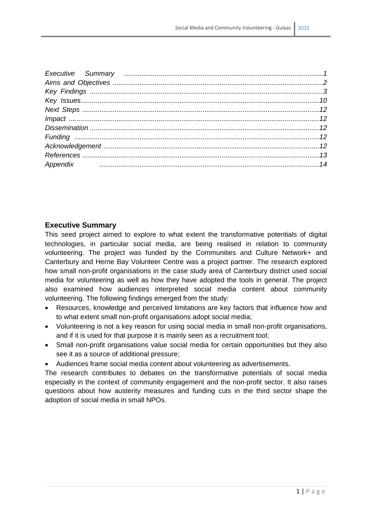| Appendix material continuum contract and the contract of the contract of the contract of the contract of the contract of the contract of the contract of the contract of the contract of the contract of the contract of the c |  |
|--------------------------------------------------------------------------------------------------------------------------------------------------------------------------------------------------------------------------------|--|
|                                                                                                                                                                                                                                |  |

#### **Executive Summary**

This seed project aimed to explore to what extent the transformative potentials of digital technologies, in particular social media, are being realised in relation to community volunteering. The project was funded by the Communities and Culture Network+ and Canterbury and Herne Bay Volunteer Centre was a project partner. The research explored how small non-profit organisations in the case study area of Canterbury district used social media for volunteering as well as how they have adopted the tools in general. The project also examined how audiences interpreted social media content about community volunteering. The following findings emerged from the study:

- Resources, knowledge and perceived limitations are key factors that influence how and to what extent small non-profit organisations adopt social media;
- Volunteering is not a key reason for using social media in small non-profit organisations, and if it is used for that purpose it is mainly seen as a recruitment tool;
- Small non-profit organisations value social media for certain opportunities but they also see it as a source of additional pressure;
- Audiences frame social media content about volunteering as advertisements.

The research contributes to debates on the transformative potentials of social media especially in the context of community engagement and the non-profit sector. It also raises questions about how austerity measures and funding cuts in the third sector shape the adoption of social media in small NPOs.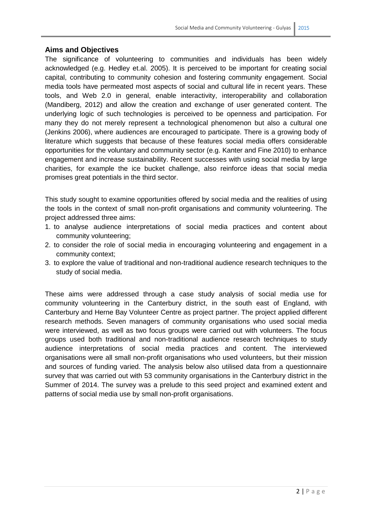### **Aims and Objectives**

The significance of volunteering to communities and individuals has been widely acknowledged (e.g. Hedley et.al. 2005). It is perceived to be important for creating social capital, contributing to community cohesion and fostering community engagement. Social media tools have permeated most aspects of social and cultural life in recent years. These tools, and Web 2.0 in general, enable interactivity, interoperability and collaboration (Mandiberg, 2012) and allow the creation and exchange of user generated content. The underlying logic of such technologies is perceived to be openness and participation. For many they do not merely represent a technological phenomenon but also a cultural one (Jenkins 2006), where audiences are encouraged to participate. There is a growing body of literature which suggests that because of these features social media offers considerable opportunities for the voluntary and community sector (e.g. Kanter and Fine 2010) to enhance engagement and increase sustainability. Recent successes with using social media by large charities, for example the ice bucket challenge, also reinforce ideas that social media promises great potentials in the third sector.

This study sought to examine opportunities offered by social media and the realities of using the tools in the context of small non-profit organisations and community volunteering. The project addressed three aims:

- 1. to analyse audience interpretations of social media practices and content about community volunteering;
- 2. to consider the role of social media in encouraging volunteering and engagement in a community context;
- 3. to explore the value of traditional and non-traditional audience research techniques to the study of social media.

These aims were addressed through a case study analysis of social media use for community volunteering in the Canterbury district, in the south east of England, with Canterbury and Herne Bay Volunteer Centre as project partner. The project applied different research methods. Seven managers of community organisations who used social media were interviewed, as well as two focus groups were carried out with volunteers. The focus groups used both traditional and non-traditional audience research techniques to study audience interpretations of social media practices and content. The interviewed organisations were all small non-profit organisations who used volunteers, but their mission and sources of funding varied. The analysis below also utilised data from a questionnaire survey that was carried out with 53 community organisations in the Canterbury district in the Summer of 2014. The survey was a prelude to this seed project and examined extent and patterns of social media use by small non-profit organisations.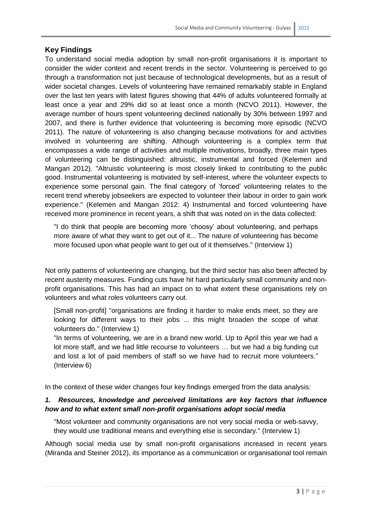## **Key Findings**

To understand social media adoption by small non-profit organisations it is important to consider the wider context and recent trends in the sector. Volunteering is perceived to go through a transformation not just because of technological developments, but as a result of wider societal changes. Levels of volunteering have remained remarkably stable in England over the last ten years with latest figures showing that 44% of adults volunteered formally at least once a year and 29% did so at least once a month (NCVO 2011). However, the average number of hours spent volunteering declined nationally by 30% between 1997 and 2007, and there is further evidence that volunteering is becoming more episodic (NCVO 2011). The nature of volunteering is also changing because motivations for and activities involved in volunteering are shifting. Although volunteering is a complex term that encompasses a wide range of activities and multiple motivations, broadly, three main types of volunteering can be distinguished: altruistic, instrumental and forced (Kelemen and Mangan 2012). "Altruistic volunteering is most closely linked to contributing to the public good. Instrumental volunteering is motivated by self-interest, where the volunteer expects to experience some personal gain. The final category of 'forced' volunteering relates to the recent trend whereby jobseekers are expected to volunteer their labour in order to gain work experience." (Kelemen and Mangan 2012: 4) Instrumental and forced volunteering have received more prominence in recent years, a shift that was noted on in the data collected:

"I do think that people are becoming more 'choosy' about volunteering, and perhaps more aware of what they want to get out of it... The nature of volunteering has become more focused upon what people want to get out of it themselves." (Interview 1)

Not only patterns of volunteering are changing, but the third sector has also been affected by recent austerity measures. Funding cuts have hit hard particularly small community and nonprofit organisations. This has had an impact on to what extent these organisations rely on volunteers and what roles volunteers carry out.

[Small non-profit] "organisations are finding it harder to make ends meet, so they are looking for different ways to their jobs ... this might broaden the scope of what volunteers do." (Interview 1)

"In terms of volunteering, we are in a brand new world. Up to April this year we had a lot more staff, and we had little recourse to volunteers … but we had a big funding cut and lost a lot of paid members of staff so we have had to recruit more volunteers." (Interview 6)

In the context of these wider changes four key findings emerged from the data analysis:

## *1. Resources, knowledge and perceived limitations are key factors that influence how and to what extent small non-profit organisations adopt social media*

"Most volunteer and community organisations are not very social media or web-savvy, they would use traditional means and everything else is secondary." (Interview 1)

Although social media use by small non-profit organisations increased in recent years (Miranda and Steiner 2012), its importance as a communication or organisational tool remain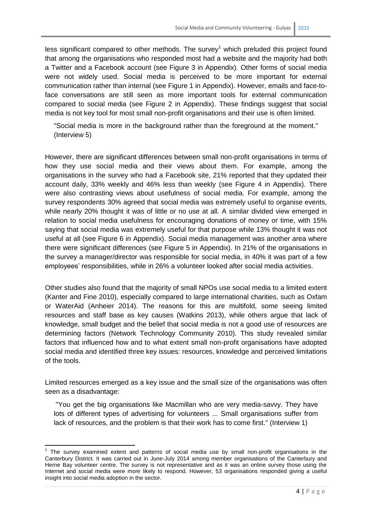less significant compared to other methods. The survey<sup>1</sup> which preluded this project found that among the organisations who responded most had a website and the majority had both a Twitter and a Facebook account (see Figure 3 in Appendix). Other forms of social media were not widely used. Social media is perceived to be more important for external communication rather than internal (see Figure 1 in Appendix). However, emails and face-toface conversations are still seen as more important tools for external communication compared to social media (see Figure 2 in Appendix). These findings suggest that social media is not key tool for most small non-profit organisations and their use is often limited.

"Social media is more in the background rather than the foreground at the moment." (Interview 5)

However, there are significant differences between small non-profit organisations in terms of how they use social media and their views about them. For example, among the organisations in the survey who had a Facebook site, 21% reported that they updated their account daily, 33% weekly and 46% less than weekly (see Figure 4 in Appendix). There were also contrasting views about usefulness of social media. For example, among the survey respondents 30% agreed that social media was extremely useful to organise events, while nearly 20% thought it was of little or no use at all. A similar divided view emerged in relation to social media usefulness for encouraging donations of money or time, with 15% saying that social media was extremely useful for that purpose while 13% thought it was not useful at all (see Figure 6 in Appendix). Social media management was another area where there were significant differences (see Figure 5 in Appendix). In 21% of the organisations in the survey a manager/director was responsible for social media, in 40% it was part of a few employees' responsibilities, while in 26% a volunteer looked after social media activities.

Other studies also found that the majority of small NPOs use social media to a limited extent (Kanter and Fine 2010), especially compared to large international charities, such as Oxfam or WaterAid (Anheier 2014). The reasons for this are multifold, some seeing limited resources and staff base as key causes (Watkins 2013), while others argue that lack of knowledge, small budget and the belief that social media is not a good use of resources are determining factors (Network Technology Community 2010). This study revealed similar factors that influenced how and to what extent small non-profit organisations have adopted social media and identified three key issues: resources, knowledge and perceived limitations of the tools.

Limited resources emerged as a key issue and the small size of the organisations was often seen as a disadvantage:

"You get the big organisations like Macmillan who are very media-savvy. They have lots of different types of advertising for volunteers ... Small organisations suffer from lack of resources, and the problem is that their work has to come first." (Interview 1)

 1 The survey examined extent and patterns of social media use by small non-profit organisations in the Canterbury District. It was carried out in June-July 2014 among member organisations of the Canterbury and Herne Bay volunteer centre. The survey is not representative and as it was an online survey those using the Internet and social media were more likely to respond. However, 53 organisations responded giving a useful insight into social media adoption in the sector.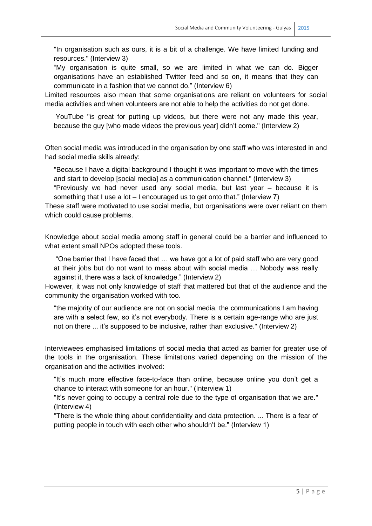"In organisation such as ours, it is a bit of a challenge. We have limited funding and resources." (Interview 3)

"My organisation is quite small, so we are limited in what we can do. Bigger organisations have an established Twitter feed and so on, it means that they can communicate in a fashion that we cannot do." (Interview 6)

Limited resources also mean that some organisations are reliant on volunteers for social media activities and when volunteers are not able to help the activities do not get done.

YouTube "is great for putting up videos, but there were not any made this year, because the guy [who made videos the previous year] didn't come." (Interview 2)

Often social media was introduced in the organisation by one staff who was interested in and had social media skills already:

"Because I have a digital background I thought it was important to move with the times and start to develop [social media] as a communication channel." (Interview 3)

"Previously we had never used any social media, but last year – because it is something that I use a lot  $-1$  encouraged us to get onto that." (Interview 7)

These staff were motivated to use social media, but organisations were over reliant on them which could cause problems.

Knowledge about social media among staff in general could be a barrier and influenced to what extent small NPOs adopted these tools.

"One barrier that I have faced that … we have got a lot of paid staff who are very good at their jobs but do not want to mess about with social media … Nobody was really against it, there was a lack of knowledge." (Interview 2)

However, it was not only knowledge of staff that mattered but that of the audience and the community the organisation worked with too.

"the majority of our audience are not on social media, the communications I am having are with a select few, so it's not everybody. There is a certain age-range who are just not on there ... it's supposed to be inclusive, rather than exclusive." (Interview 2)

Interviewees emphasised limitations of social media that acted as barrier for greater use of the tools in the organisation. These limitations varied depending on the mission of the organisation and the activities involved:

"It's much more effective face-to-face than online, because online you don't get a chance to interact with someone for an hour." (Interview 1)

"It's never going to occupy a central role due to the type of organisation that we are." (Interview 4)

"There is the whole thing about confidentiality and data protection. ... There is a fear of putting people in touch with each other who shouldn't be." (Interview 1)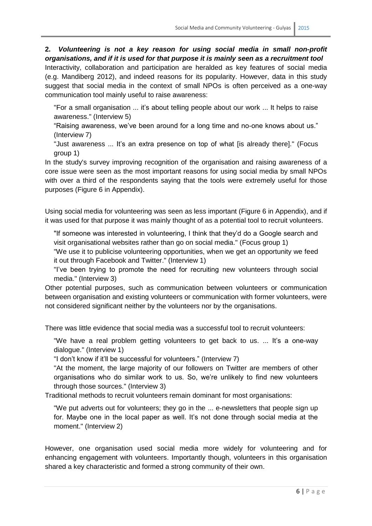**2.** *Volunteering is not a key reason for using social media in small non-profit organisations, and if it is used for that purpose it is mainly seen as a recruitment tool*  Interactivity, collaboration and participation are heralded as key features of social media (e.g. Mandiberg 2012), and indeed reasons for its popularity. However, data in this study suggest that social media in the context of small NPOs is often perceived as a one-way communication tool mainly useful to raise awareness:

"For a small organisation ... it's about telling people about our work ... It helps to raise awareness." (Interview 5)

"Raising awareness, we've been around for a long time and no-one knows about us." (Interview 7)

"Just awareness ... It's an extra presence on top of what [is already there]." (Focus group 1)

In the study's survey improving recognition of the organisation and raising awareness of a core issue were seen as the most important reasons for using social media by small NPOs with over a third of the respondents saying that the tools were extremely useful for those purposes (Figure 6 in Appendix).

Using social media for volunteering was seen as less important (Figure 6 in Appendix), and if it was used for that purpose it was mainly thought of as a potential tool to recruit volunteers.

"If someone was interested in volunteering, I think that they'd do a Google search and visit organisational websites rather than go on social media." (Focus group 1)

"We use it to publicise volunteering opportunities, when we get an opportunity we feed it out through Facebook and Twitter." (Interview 1)

"I've been trying to promote the need for recruiting new volunteers through social media." (Interview 3)

Other potential purposes, such as communication between volunteers or communication between organisation and existing volunteers or communication with former volunteers, were not considered significant neither by the volunteers nor by the organisations.

There was little evidence that social media was a successful tool to recruit volunteers:

"We have a real problem getting volunteers to get back to us. ... It's a one-way dialogue." (Interview 1)

"I don't know if it'll be successful for volunteers." (Interview 7)

"At the moment, the large majority of our followers on Twitter are members of other organisations who do similar work to us. So, we're unlikely to find new volunteers through those sources." (Interview 3)

Traditional methods to recruit volunteers remain dominant for most organisations:

"We put adverts out for volunteers; they go in the ... e-newsletters that people sign up for. Maybe one in the local paper as well. It's not done through social media at the moment." (Interview 2)

However, one organisation used social media more widely for volunteering and for enhancing engagement with volunteers. Importantly though, volunteers in this organisation shared a key characteristic and formed a strong community of their own.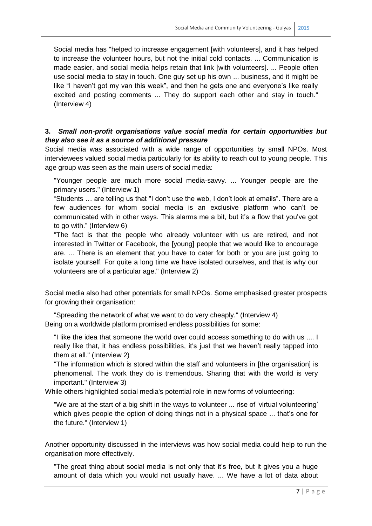Social media has "helped to increase engagement [with volunteers], and it has helped to increase the volunteer hours, but not the initial cold contacts. ... Communication is made easier, and social media helps retain that link [with volunteers]. ... People often use social media to stay in touch. One guy set up his own ... business, and it might be like "I haven't got my van this week", and then he gets one and everyone's like really excited and posting comments ... They do support each other and stay in touch." (Interview 4)

## **3.** *Small non-profit organisations value social media for certain opportunities but they also see it as a source of additional pressure*

Social media was associated with a wide range of opportunities by small NPOs. Most interviewees valued social media particularly for its ability to reach out to young people. This age group was seen as the main users of social media:

"Younger people are much more social media-savvy. ... Younger people are the primary users." (Interview 1)

"Students … are telling us that "I don't use the web, I don't look at emails". There are a few audiences for whom social media is an exclusive platform who can't be communicated with in other ways. This alarms me a bit, but it's a flow that you've got to go with." (Interview 6)

"The fact is that the people who already volunteer with us are retired, and not interested in Twitter or Facebook, the [young] people that we would like to encourage are. ... There is an element that you have to cater for both or you are just going to isolate yourself. For quite a long time we have isolated ourselves, and that is why our volunteers are of a particular age." (Interview 2)

Social media also had other potentials for small NPOs. Some emphasised greater prospects for growing their organisation:

"Spreading the network of what we want to do very cheaply." (Interview 4) Being on a worldwide platform promised endless possibilities for some:

"I like the idea that someone the world over could access something to do with us .... I really like that, it has endless possibilities, it's just that we haven't really tapped into them at all." (Interview 2)

"The information which is stored within the staff and volunteers in [the organisation] is phenomenal. The work they do is tremendous. Sharing that with the world is very important." (Interview 3)

While others highlighted social media's potential role in new forms of volunteering:

"We are at the start of a big shift in the ways to volunteer ... rise of 'virtual volunteering' which gives people the option of doing things not in a physical space ... that's one for the future." (Interview 1)

Another opportunity discussed in the interviews was how social media could help to run the organisation more effectively.

"The great thing about social media is not only that it's free, but it gives you a huge amount of data which you would not usually have. ... We have a lot of data about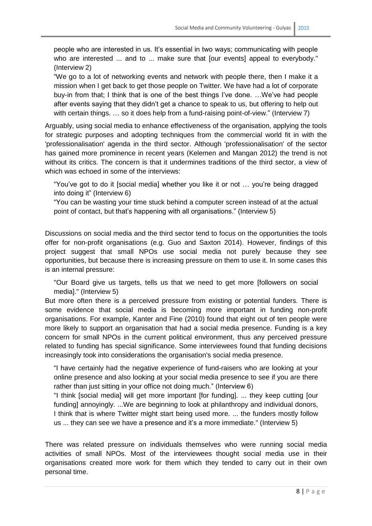people who are interested in us. It's essential in two ways; communicating with people who are interested ... and to ... make sure that [our events] appeal to everybody." (Interview 2)

"We go to a lot of networking events and network with people there, then I make it a mission when I get back to get those people on Twitter. We have had a lot of corporate buy-in from that; I think that is one of the best things I've done. …We've had people after events saying that they didn't get a chance to speak to us, but offering to help out with certain things. ... so it does help from a fund-raising point-of-view." (Interview 7)

Arguably, using social media to enhance effectiveness of the organisation, applying the tools for strategic purposes and adopting techniques from the commercial world fit in with the 'professionalisation' agenda in the third sector. Although 'professionalisation' of the sector has gained more prominence in recent years (Kelemen and Mangan 2012) the trend is not without its critics. The concern is that it undermines traditions of the third sector, a view of which was echoed in some of the interviews:

"You've got to do it [social media] whether you like it or not … you're being dragged into doing it" (Interview 6)

"You can be wasting your time stuck behind a computer screen instead of at the actual point of contact, but that's happening with all organisations." (Interview 5)

Discussions on social media and the third sector tend to focus on the opportunities the tools offer for non-profit organisations (e.g. Guo and Saxton 2014). However, findings of this project suggest that small NPOs use social media not purely because they see opportunities, but because there is increasing pressure on them to use it. In some cases this is an internal pressure:

"Our Board give us targets, tells us that we need to get more [followers on social media]." (Interview 5)

But more often there is a perceived pressure from existing or potential funders. There is some evidence that social media is becoming more important in funding non-profit organisations. For example, Kanter and Fine (2010) found that eight out of ten people were more likely to support an organisation that had a social media presence. Funding is a key concern for small NPOs in the current political environment, thus any perceived pressure related to funding has special significance. Some interviewees found that funding decisions increasingly took into considerations the organisation's social media presence.

"I have certainly had the negative experience of fund-raisers who are looking at your online presence and also looking at your social media presence to see if you are there rather than just sitting in your office not doing much." (Interview 6)

"I think [social media] will get more important [for funding]. ... they keep cutting [our funding] annoyingly. ...We are beginning to look at philanthropy and individual donors, I think that is where Twitter might start being used more. ... the funders mostly follow us ... they can see we have a presence and it's a more immediate." (Interview 5)

There was related pressure on individuals themselves who were running social media activities of small NPOs. Most of the interviewees thought social media use in their organisations created more work for them which they tended to carry out in their own personal time.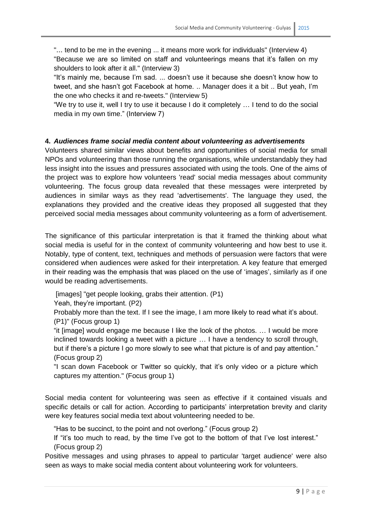"... tend to be me in the evening ... it means more work for individuals" (Interview 4) "Because we are so limited on staff and volunteerings means that it's fallen on my shoulders to look after it all." (Interview 3)

"It's mainly me, because I'm sad. ... doesn't use it because she doesn't know how to tweet, and she hasn't got Facebook at home. .. Manager does it a bit .. But yeah, I'm the one who checks it and re-tweets." (Interview 5)

"We try to use it, well I try to use it because I do it completely … I tend to do the social media in my own time." (Interview 7)

#### **4.** *Audiences frame social media content about volunteering as advertisements*

Volunteers shared similar views about benefits and opportunities of social media for small NPOs and volunteering than those running the organisations, while understandably they had less insight into the issues and pressures associated with using the tools. One of the aims of the project was to explore how volunteers 'read' social media messages about community volunteering. The focus group data revealed that these messages were interpreted by audiences in similar ways as they read 'advertisements'. The language they used, the explanations they provided and the creative ideas they proposed all suggested that they perceived social media messages about community volunteering as a form of advertisement.

The significance of this particular interpretation is that it framed the thinking about what social media is useful for in the context of community volunteering and how best to use it. Notably, type of content, text, techniques and methods of persuasion were factors that were considered when audiences were asked for their interpretation. A key feature that emerged in their reading was the emphasis that was placed on the use of 'images', similarly as if one would be reading advertisements.

[images] "get people looking, grabs their attention. (P1)

Yeah, they're important. (P2)

Probably more than the text. If I see the image, I am more likely to read what it's about. (P1)" (Focus group 1)

"it [image] would engage me because I like the look of the photos. … I would be more inclined towards looking a tweet with a picture … I have a tendency to scroll through, but if there's a picture I go more slowly to see what that picture is of and pay attention." (Focus group 2)

"I scan down Facebook or Twitter so quickly, that it's only video or a picture which captures my attention." (Focus group 1)

Social media content for volunteering was seen as effective if it contained visuals and specific details or call for action. According to participants' interpretation brevity and clarity were key features social media text about volunteering needed to be.

"Has to be succinct, to the point and not overlong." (Focus group 2)

If "it's too much to read, by the time I've got to the bottom of that I've lost interest." (Focus group 2)

Positive messages and using phrases to appeal to particular 'target audience' were also seen as ways to make social media content about volunteering work for volunteers.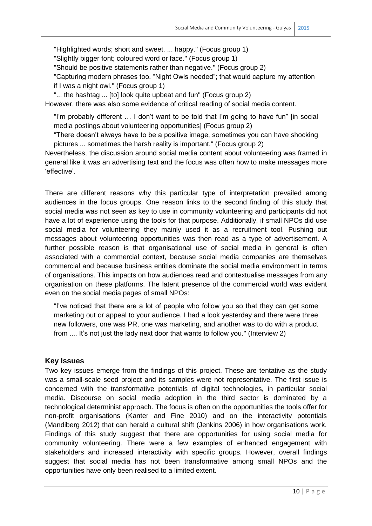"Highlighted words; short and sweet. ... happy." (Focus group 1)

"Slightly bigger font; coloured word or face." (Focus group 1)

"Should be positive statements rather than negative." (Focus group 2)

"Capturing modern phrases too. "Night Owls needed"; that would capture my attention if I was a night owl." (Focus group 1)

"... the hashtag ... [to] look quite upbeat and fun" (Focus group 2)

However, there was also some evidence of critical reading of social media content.

"I'm probably different … I don't want to be told that I'm going to have fun" [in social media postings about volunteering opportunities] (Focus group 2)

"There doesn't always have to be a positive image, sometimes you can have shocking pictures ... sometimes the harsh reality is important." (Focus group 2)

Nevertheless, the discussion around social media content about volunteering was framed in general like it was an advertising text and the focus was often how to make messages more 'effective'.

There are different reasons why this particular type of interpretation prevailed among audiences in the focus groups. One reason links to the second finding of this study that social media was not seen as key to use in community volunteering and participants did not have a lot of experience using the tools for that purpose. Additionally, if small NPOs did use social media for volunteering they mainly used it as a recruitment tool. Pushing out messages about volunteering opportunities was then read as a type of advertisement. A further possible reason is that organisational use of social media in general is often associated with a commercial context, because social media companies are themselves commercial and because business entities dominate the social media environment in terms of organisations. This impacts on how audiences read and contextualise messages from any organisation on these platforms. The latent presence of the commercial world was evident even on the social media pages of small NPOs:

"I've noticed that there are a lot of people who follow you so that they can get some marketing out or appeal to your audience. I had a look yesterday and there were three new followers, one was PR, one was marketing, and another was to do with a product from .... It's not just the lady next door that wants to follow you." (Interview 2)

#### **Key Issues**

Two key issues emerge from the findings of this project. These are tentative as the study was a small-scale seed project and its samples were not representative. The first issue is concerned with the transformative potentials of digital technologies, in particular social media. Discourse on social media adoption in the third sector is dominated by a technological determinist approach. The focus is often on the opportunities the tools offer for non-profit organisations (Kanter and Fine 2010) and on the interactivity potentials (Mandiberg 2012) that can herald a cultural shift (Jenkins 2006) in how organisations work. Findings of this study suggest that there are opportunities for using social media for community volunteering. There were a few examples of enhanced engagement with stakeholders and increased interactivity with specific groups. However, overall findings suggest that social media has not been transformative among small NPOs and the opportunities have only been realised to a limited extent.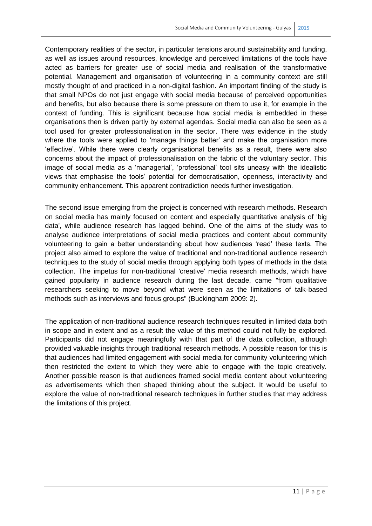Contemporary realities of the sector, in particular tensions around sustainability and funding, as well as issues around resources, knowledge and perceived limitations of the tools have acted as barriers for greater use of social media and realisation of the transformative potential. Management and organisation of volunteering in a community context are still mostly thought of and practiced in a non-digital fashion. An important finding of the study is that small NPOs do not just engage with social media because of perceived opportunities and benefits, but also because there is some pressure on them to use it, for example in the context of funding. This is significant because how social media is embedded in these organisations then is driven partly by external agendas. Social media can also be seen as a tool used for greater professionalisation in the sector. There was evidence in the study where the tools were applied to 'manage things better' and make the organisation more 'effective'. While there were clearly organisational benefits as a result, there were also concerns about the impact of professionalisation on the fabric of the voluntary sector. This image of social media as a 'managerial', 'professional' tool sits uneasy with the idealistic views that emphasise the tools' potential for democratisation, openness, interactivity and community enhancement. This apparent contradiction needs further investigation.

The second issue emerging from the project is concerned with research methods. Research on social media has mainly focused on content and especially quantitative analysis of 'big data', while audience research has lagged behind. One of the aims of the study was to analyse audience interpretations of social media practices and content about community volunteering to gain a better understanding about how audiences 'read' these texts. The project also aimed to explore the value of traditional and non-traditional audience research techniques to the study of social media through applying both types of methods in the data collection. The impetus for non-traditional 'creative' media research methods, which have gained popularity in audience research during the last decade, came "from qualitative researchers seeking to move beyond what were seen as the limitations of talk-based methods such as interviews and focus groups" (Buckingham 2009: 2).

The application of non-traditional audience research techniques resulted in limited data both in scope and in extent and as a result the value of this method could not fully be explored. Participants did not engage meaningfully with that part of the data collection, although provided valuable insights through traditional research methods. A possible reason for this is that audiences had limited engagement with social media for community volunteering which then restricted the extent to which they were able to engage with the topic creatively. Another possible reason is that audiences framed social media content about volunteering as advertisements which then shaped thinking about the subject. It would be useful to explore the value of non-traditional research techniques in further studies that may address the limitations of this project.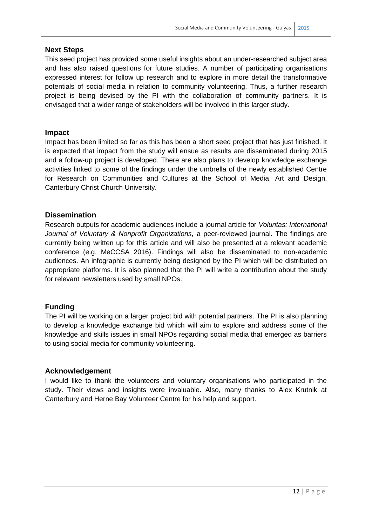#### **Next Steps**

This seed project has provided some useful insights about an under-researched subject area and has also raised questions for future studies. A number of participating organisations expressed interest for follow up research and to explore in more detail the transformative potentials of social media in relation to community volunteering. Thus, a further research project is being devised by the PI with the collaboration of community partners. It is envisaged that a wider range of stakeholders will be involved in this larger study.

#### **Impact**

Impact has been limited so far as this has been a short seed project that has just finished. It is expected that impact from the study will ensue as results are disseminated during 2015 and a follow-up project is developed. There are also plans to develop knowledge exchange activities linked to some of the findings under the umbrella of the newly established Centre for Research on Communities and Cultures at the School of Media, Art and Design, Canterbury Christ Church University.

#### **Dissemination**

Research outputs for academic audiences include a journal article for *Voluntas: International Journal of Voluntary & Nonprofit Organizations,* a peer-reviewed journal. The findings are currently being written up for this article and will also be presented at a relevant academic conference (e.g. MeCCSA 2016). Findings will also be disseminated to non-academic audiences. An infographic is currently being designed by the PI which will be distributed on appropriate platforms. It is also planned that the PI will write a contribution about the study for relevant newsletters used by small NPOs.

#### **Funding**

The PI will be working on a larger project bid with potential partners. The PI is also planning to develop a knowledge exchange bid which will aim to explore and address some of the knowledge and skills issues in small NPOs regarding social media that emerged as barriers to using social media for community volunteering.

#### **Acknowledgement**

I would like to thank the volunteers and voluntary organisations who participated in the study. Their views and insights were invaluable. Also, many thanks to Alex Krutnik at Canterbury and Herne Bay Volunteer Centre for his help and support.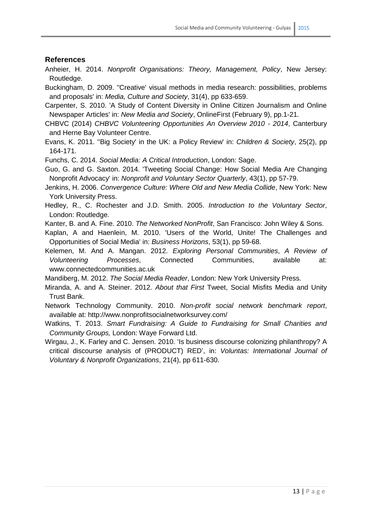#### **References**

- Anheier, H. 2014. *Nonprofit Organisations: Theory, Management, Policy*, New Jersey: Routledge.
- Buckingham, D. 2009. ''Creative' visual methods in media research: possibilities, problems and proposals' in: *Media, Culture and Society*, 31(4), pp 633-659.
- Carpenter, S. 2010. 'A Study of Content Diversity in Online Citizen Journalism and Online Newspaper Articles' in: *New Media and Society*, OnlineFirst (February 9), pp.1-21.
- CHBVC (2014) *CHBVC Volunteering Opportunities An Overview 2010 - 2014*, Canterbury and Herne Bay Volunteer Centre.
- Evans, K. 2011. ''Big Society' in the UK: a Policy Review' in: *Children & Society*, 25(2), pp 164-171.

Funchs, C. 2014. *Social Media: A Critical Introduction*, London: Sage.

- Guo, G. and G. Saxton. 2014. 'Tweeting Social Change: How Social Media Are Changing Nonprofit Advocacy' in: *Nonprofit and Voluntary Sector Quarterly*, 43(1), pp 57-79.
- Jenkins, H. 2006. *Convergence Culture: Where Old and New Media Collide*, New York: New York University Press.
- Hedley, R., C. Rochester and J.D. Smith. 2005. *Introduction to the Voluntary Sector*, London: Routledge.
- Kanter, B. and A. Fine. 2010. *The Networked NonProfit*, San Francisco: John Wiley & Sons.
- Kaplan, A and Haenlein, M. 2010. 'Users of the World, Unite! The Challenges and Opportunities of Social Media' in: *Business Horizons*, 53(1), pp 59-68.
- Kelemen, M. And A. Mangan. 2012. *Exploring Personal Communities*, *A Review of Volunteering Processes*, Connected Communities, available at: www.connectedcommunities.ac.uk

Mandiberg, M. 2012. *The Social Media Reader*, London: New York University Press.

- Miranda, A. and A. Steiner. 2012. *About that First* Tweet, Social Misfits Media and Unity Trust Bank.
- Network Technology Community. 2010. *Non-profit social network benchmark report*, available at: http://www.nonprofitsocialnetworksurvey.com/
- Watkins, T. 2013. *Smart Fundraising: A Guide to Fundraising for Small Charities and Community Groups,* London: Waye Forward Ltd.
- Wirgau, J., K. Farley and C. Jensen. 2010. 'Is business discourse colonizing philanthropy? A critical discourse analysis of (PRODUCT) RED', in: *Voluntas: International Journal of Voluntary & Nonprofit Organizations*, 21(4), pp 611-630.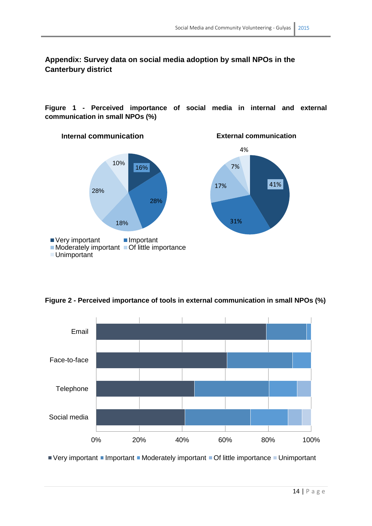**Appendix: Survey data on social media adoption by small NPOs in the Canterbury district**

**Figure 1 - Perceived importance of social media in internal and external communication in small NPOs (%)**





**Figure 2 - Perceived importance of tools in external communication in small NPOs (%)**

 $\blacksquare$  Very important  $\blacksquare$  Important  $\blacksquare$  Moderately important  $\blacksquare$  Of little importance  $\blacksquare$  Unimportant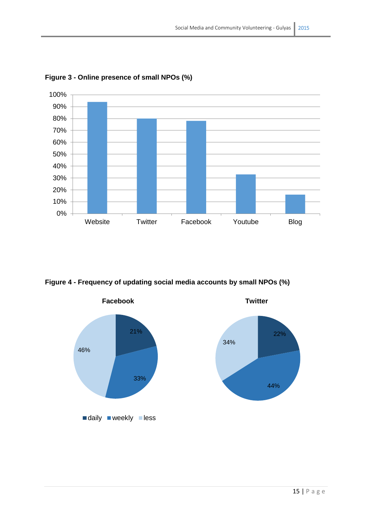

**Figure 3 - Online presence of small NPOs (%)**

**Figure 4 - Frequency of updating social media accounts by small NPOs (%)**